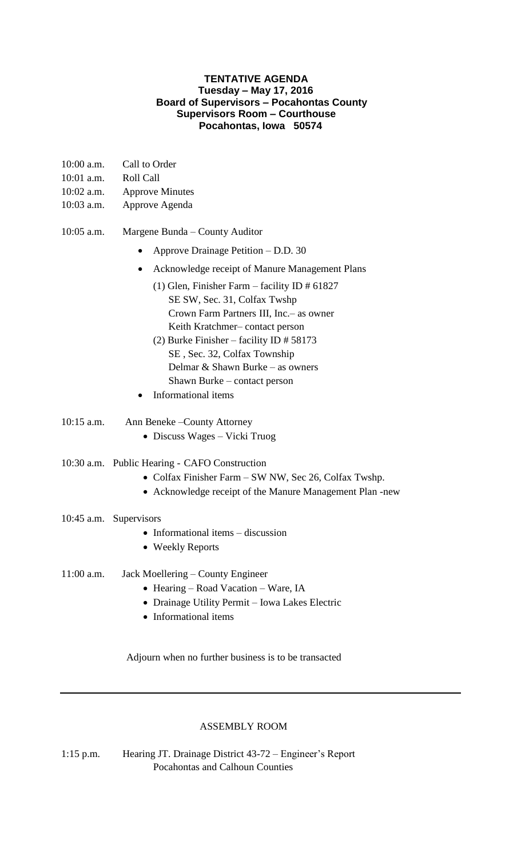## **TENTATIVE AGENDA Tuesday – May 17, 2016 Board of Supervisors – Pocahontas County Supervisors Room – Courthouse Pocahontas, Iowa 50574**

| $10:00$ a.m. | Call to Order                                                                                                                                                                                                                                                                                                                           |
|--------------|-----------------------------------------------------------------------------------------------------------------------------------------------------------------------------------------------------------------------------------------------------------------------------------------------------------------------------------------|
| 10:01 a.m.   | <b>Roll Call</b>                                                                                                                                                                                                                                                                                                                        |
| $10:02$ a.m. | <b>Approve Minutes</b>                                                                                                                                                                                                                                                                                                                  |
| 10:03 a.m.   | Approve Agenda                                                                                                                                                                                                                                                                                                                          |
| 10:05 a.m.   | Margene Bunda – County Auditor                                                                                                                                                                                                                                                                                                          |
|              | Approve Drainage Petition – D.D. 30                                                                                                                                                                                                                                                                                                     |
|              | Acknowledge receipt of Manure Management Plans<br>$\bullet$                                                                                                                                                                                                                                                                             |
|              | (1) Glen, Finisher Farm – facility ID $\#$ 61827<br>SE SW, Sec. 31, Colfax Twshp<br>Crown Farm Partners III, Inc. – as owner<br>Keith Kratchmer-contact person<br>(2) Burke Finisher – facility ID $# 58173$<br>SE, Sec. 32, Colfax Township<br>Delmar & Shawn Burke – as owners<br>Shawn Burke – contact person<br>Informational items |
| $10:15$ a.m. | Ann Beneke – County Attorney<br>• Discuss Wages $-$ Vicki Truog                                                                                                                                                                                                                                                                         |
|              | 10:30 a.m. Public Hearing - CAFO Construction<br>• Colfax Finisher Farm – SW NW, Sec 26, Colfax Twshp.<br>• Acknowledge receipt of the Manure Management Plan -new                                                                                                                                                                      |
|              | 10:45 a.m. Supervisors<br>• Informational items $-$ discussion<br>• Weekly Reports                                                                                                                                                                                                                                                      |
| $11:00$ a.m. | Jack Moellering – County Engineer<br>• Hearing – Road Vacation – Ware, IA<br>• Drainage Utility Permit - Iowa Lakes Electric<br>• Informational items                                                                                                                                                                                   |

## ASSEMBLY ROOM

Adjourn when no further business is to be transacted

1:15 p.m. Hearing JT. Drainage District 43-72 – Engineer's Report Pocahontas and Calhoun Counties